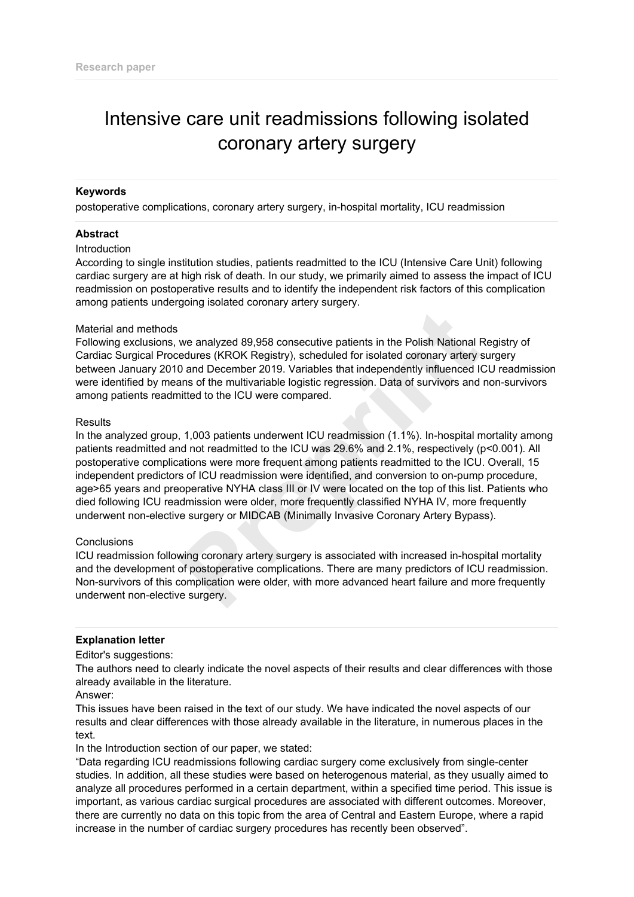# Intensive care unit readmissions following isolated coronary artery surgery

## **Keywords**

postoperative complications, coronary artery surgery, in-hospital mortality, ICU readmission

### **Abstract**

### **Introduction**

According to single institution studies, patients readmitted to the ICU (Intensive Care Unit) following cardiac surgery are at high risk of death. In our study, we primarily aimed to assess the impact of ICU readmission on postoperative results and to identify the independent risk factors of this complication among patients undergoing isolated coronary artery surgery.

### Material and methods

Following exclusions, we analyzed 89,958 consecutive patients in the Polish National Registry of Cardiac Surgical Procedures (KROK Registry), scheduled for isolated coronary artery surgery between January 2010 and December 2019. Variables that independently influenced ICU readmission were identified by means of the multivariable logistic regression. Data of survivors and non-survivors among patients readmitted to the ICU were compared.

### **Results**

In the analyzed group, 1,003 patients underwent ICU readmission (1.1%). In-hospital mortality among patients readmitted and not readmitted to the ICU was 29.6% and 2.1%, respectively (p<0.001). All postoperative complications were more frequent among patients readmitted to the ICU. Overall, 15 independent predictors of ICU readmission were identified, and conversion to on-pump procedure, age>65 years and preoperative NYHA class III or IV were located on the top of this list. Patients who died following ICU readmission were older, more frequently classified NYHA IV, more frequently underwent non-elective surgery or MIDCAB (Minimally Invasive Coronary Artery Bypass). **Example 189,958 consecutive patients in the Polish National edures (KROK Registry), scheduled for isolated coronary artery 9 and December 2019. Variables that independently influenced 14 and Secure 2019. Variables that in** 

### **Conclusions**

ICU readmission following coronary artery surgery is associated with increased in-hospital mortality and the development of postoperative complications. There are many predictors of ICU readmission. Non-survivors of this complication were older, with more advanced heart failure and more frequently underwent non-elective surgery.

### **Explanation letter**

### Editor's suggestions:

The authors need to clearly indicate the novel aspects of their results and clear differences with those already available in the literature.

### Answer:

This issues have been raised in the text of our study. We have indicated the novel aspects of our results and clear differences with those already available in the literature, in numerous places in the text.

### In the Introduction section of our paper, we stated:

"Data regarding ICU readmissions following cardiac surgery come exclusively from single-center studies. In addition, all these studies were based on heterogenous material, as they usually aimed to analyze all procedures performed in a certain department, within a specified time period. This issue is important, as various cardiac surgical procedures are associated with different outcomes. Moreover, there are currently no data on this topic from the area of Central and Eastern Europe, where a rapid increase in the number of cardiac surgery procedures has recently been observed".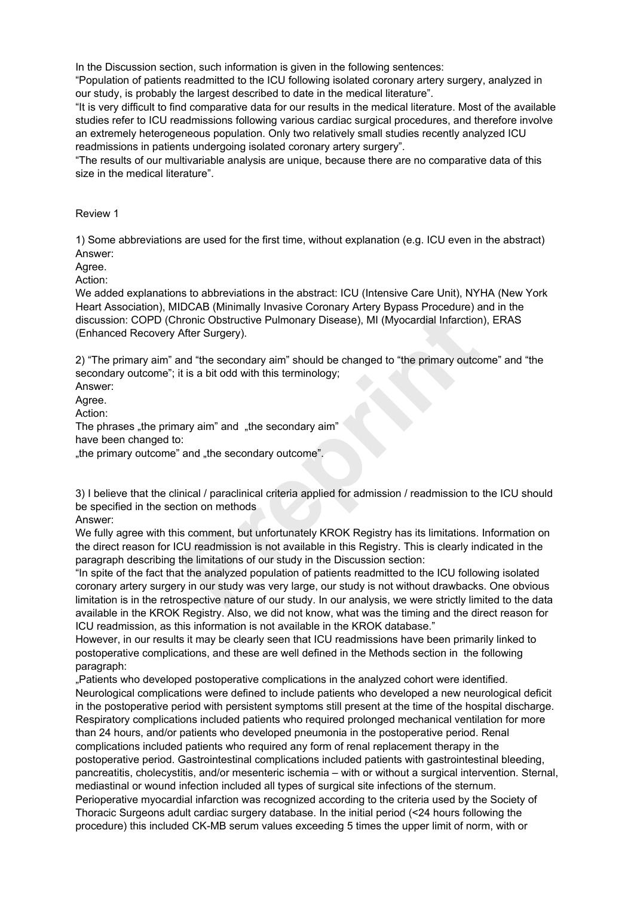In the Discussion section, such information is given in the following sentences:

"Population of patients readmitted to the ICU following isolated coronary artery surgery, analyzed in our study, is probably the largest described to date in the medical literature".

"It is very difficult to find comparative data for our results in the medical literature. Most of the available studies refer to ICU readmissions following various cardiac surgical procedures, and therefore involve an extremely heterogeneous population. Only two relatively small studies recently analyzed ICU readmissions in patients undergoing isolated coronary artery surgery".

"The results of our multivariable analysis are unique, because there are no comparative data of this size in the medical literature".

## Review 1

1) Some abbreviations are used for the first time, without explanation (e.g. ICU even in the abstract) Answer:

# Agree.

Action:

We added explanations to abbreviations in the abstract: ICU (Intensive Care Unit), NYHA (New York Heart Association), MIDCAB (Minimally Invasive Coronary Artery Bypass Procedure) and in the discussion: COPD (Chronic Obstructive Pulmonary Disease), MI (Myocardial Infarction), ERAS (Enhanced Recovery After Surgery).

2) "The primary aim" and "the secondary aim" should be changed to "the primary outcome" and "the secondary outcome"; it is a bit odd with this terminology;

Answer:

Agree.

Action:

The phrases "the primary aim" and "the secondary aim" have been changed to: "the primary outcome" and "the secondary outcome".

3) I believe that the clinical / paraclinical criteria applied for admission / readmission to the ICU should be specified in the section on methods

Answer:

We fully agree with this comment, but unfortunately KROK Registry has its limitations. Information on the direct reason for ICU readmission is not available in this Registry. This is clearly indicated in the paragraph describing the limitations of our study in the Discussion section:

"In spite of the fact that the analyzed population of patients readmitted to the ICU following isolated coronary artery surgery in our study was very large, our study is not without drawbacks. One obvious limitation is in the retrospective nature of our study. In our analysis, we were strictly limited to the data available in the KROK Registry. Also, we did not know, what was the timing and the direct reason for ICU readmission, as this information is not available in the KROK database." **Processor (Minimary Invasive Colonially Artery bypass Procedure)** a<br> **Processor (Minimary Preprint)**<br>
After Surgery).<br>
After Surgery).<br>
After Surgery).<br>
After Surgery).<br>
Ind "the secondary aim" should be changed to "the p

However, in our results it may be clearly seen that ICU readmissions have been primarily linked to postoperative complications, and these are well defined in the Methods section in the following paragraph:

"Patients who developed postoperative complications in the analyzed cohort were identified. Neurological complications were defined to include patients who developed a new neurological deficit in the postoperative period with persistent symptoms still present at the time of the hospital discharge. Respiratory complications included patients who required prolonged mechanical ventilation for more than 24 hours, and/or patients who developed pneumonia in the postoperative period. Renal complications included patients who required any form of renal replacement therapy in the postoperative period. Gastrointestinal complications included patients with gastrointestinal bleeding, pancreatitis, cholecystitis, and/or mesenteric ischemia – with or without a surgical intervention. Sternal, mediastinal or wound infection included all types of surgical site infections of the sternum. Perioperative myocardial infarction was recognized according to the criteria used by the Society of Thoracic Surgeons adult cardiac surgery database. In the initial period (<24 hours following the procedure) this included CK-MB serum values exceeding 5 times the upper limit of norm, with or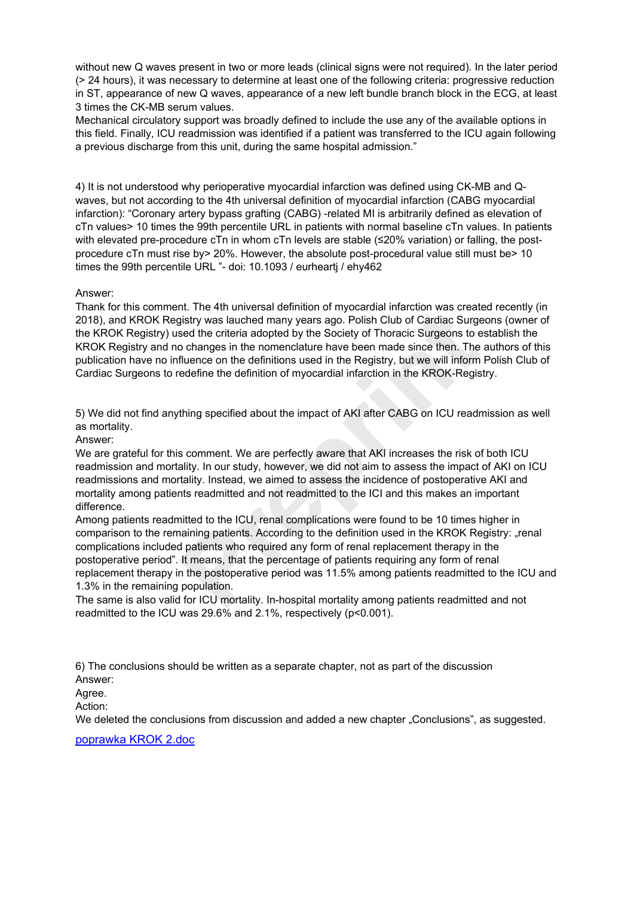without new Q waves present in two or more leads (clinical signs were not required). In the later period (> 24 hours), it was necessary to determine at least one of the following criteria: progressive reduction in ST, appearance of new Q waves, appearance of a new left bundle branch block in the ECG, at least 3 times the CK-MB serum values.

Mechanical circulatory support was broadly defined to include the use any of the available options in this field. Finally, ICU readmission was identified if a patient was transferred to the ICU again following a previous discharge from this unit, during the same hospital admission."

4) It is not understood why perioperative myocardial infarction was defined using CK-MB and Qwaves, but not according to the 4th universal definition of myocardial infarction (CABG myocardial infarction): "Coronary artery bypass grafting (CABG) -related MI is arbitrarily defined as elevation of cTn values> 10 times the 99th percentile URL in patients with normal baseline cTn values. In patients with elevated pre-procedure cTn in whom cTn levels are stable (≤20% variation) or falling, the postprocedure cTn must rise by > 20%. However, the absolute post-procedural value still must be > 10 times the 99th percentile URL "- doi: 10.1093 / eurheartj / ehy462

## Answer:

Thank for this comment. The 4th universal definition of myocardial infarction was created recently (in 2018), and KROK Registry was lauched many years ago. Polish Club of Cardiac Surgeons (owner of the KROK Registry) used the criteria adopted by the Society of Thoracic Surgeons to establish the KROK Registry and no changes in the nomenclature have been made since then. The authors of this publication have no influence on the definitions used in the Registry, but we will inform Polish Club of Cardiac Surgeons to redefine the definition of myocardial infarction in the KROK-Registry.

5) We did not find anything specified about the impact of AKI after CABG on ICU readmission as well as mortality.

Answer:

We are grateful for this comment. We are perfectly aware that AKI increases the risk of both ICU readmission and mortality. In our study, however, we did not aim to assess the impact of AKI on ICU readmissions and mortality. Instead, we aimed to assess the incidence of postoperative AKI and mortality among patients readmitted and not readmitted to the ICI and this makes an important difference.

Among patients readmitted to the ICU, renal complications were found to be 10 times higher in comparison to the remaining patients. According to the definition used in the KROK Registry: "renal complications included patients who required any form of renal replacement therapy in the postoperative period". It means, that the percentage of patients requiring any form of renal replacement therapy in the postoperative period was 11.5% among patients readmitted to the ICU and 1.3% in the remaining population. Inter 4th universal delimition of injuded intraction was clearated many years ago. Polish Club of Cardiac Surge<br>isety was lauched many years ago. Polish Club of Cardiac Surge<br>sed the criteria adopted by the Society of Thor

The same is also valid for ICU mortality. In-hospital mortality among patients readmitted and not readmitted to the ICU was 29.6% and 2.1%, respectively (p<0.001).

6) The conclusions should be written as a separate chapter, not as part of the discussion

Answer: Agree.

Action:

We deleted the conclusions from discussion and added a new chapter "Conclusions", as suggested.

[poprawka KROK 2.doc](https://www.editorialsystem.com/dl/a/263891/99d2e6778cd374f5c54da3078501888c/)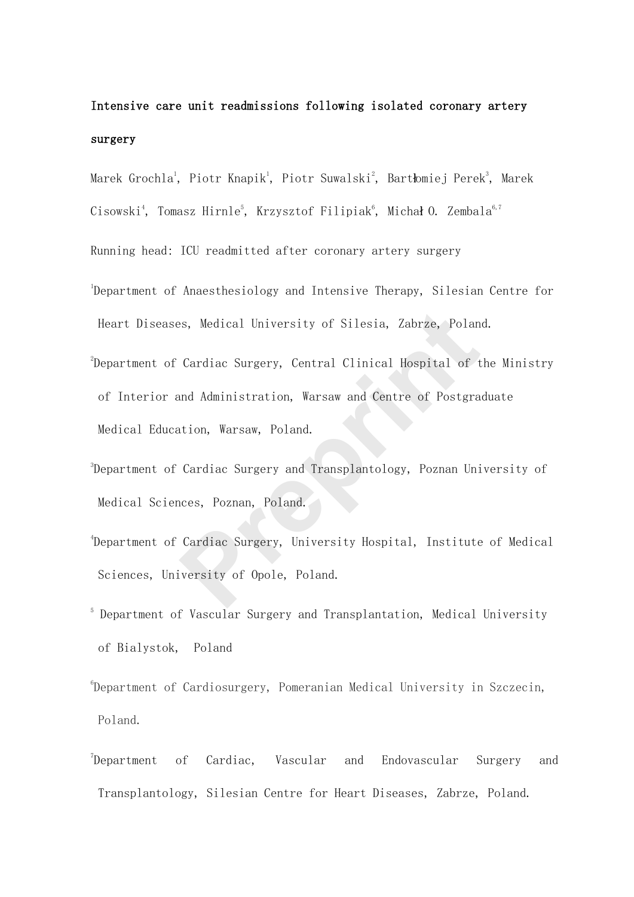# Intensive care unit readmissions following isolated coronary artery surgery

Marek Grochla<sup>1</sup>, Piotr Knapik<sup>1</sup>, Piotr Suwalski<sup>2</sup>, Bartłomiej Perek<sup>3</sup>, Marek

Cisowski<sup>4</sup>, Tomasz Hirnle<sup>5</sup>, Krzysztof Filipiak<sup>6</sup>, Michał O. Zembala<sup>6,7</sup>

Running head: ICU readmitted after coronary artery surgery

- 1 Department of Anaesthesiology and Intensive Therapy, Silesian Centre for Heart Diseases, Medical University of Silesia, Zabrze, Poland.
- $^{2}$ Department of Cardiac Surgery, Central Clinical Hospital of the Ministry of Interior and Administration, Warsaw and Centre of Postgraduate Medical Education, Warsaw, Poland. reprised University of Silesia, Zabrze, Polan<br>
Cardiac Surgery, Central Clinical Hospital of t<br>
And Administration, Warsaw and Centre of Postgra<br>
Ation, Warsaw, Poland.<br>
Cardiac Surgery and Transplantology, Poznan Uni<br>
rec
- 3 Department of Cardiac Surgery and Transplantology, Poznan University of Medical Sciences, Poznan, Poland.
- 4 Department of Cardiac Surgery, University Hospital, Institute of Medical Sciences, University of Opole, Poland.
- 5 Department of Vascular Surgery and Transplantation, Medical University of Bialystok, Poland
- 6 Department of Cardiosurgery, Pomeranian Medical University in Szczecin, Poland.
- <sup>7</sup>Department of Cardiac, Vascular and Endovascular Surgery and Transplantology, Silesian Centre for Heart Diseases, Zabrze, Poland.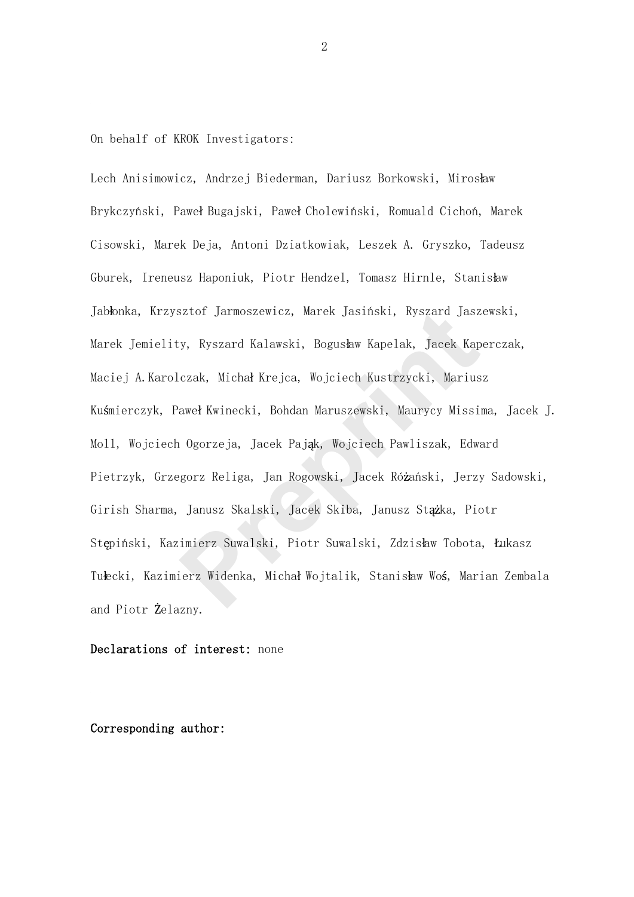On behalf of KROK Investigators:

Lech Anisimowicz, Andrzej Biederman, Dariusz Borkowski, Mirosław Brykczyński, Paweł Bugajski, Paweł Cholewiński, Romuald Cichoń, Marek Cisowski, Marek Deja, Antoni Dziatkowiak, Leszek A. Gryszko, Tadeusz Gburek, Ireneusz Haponiuk, Piotr Hendzel, Tomasz Hirnle, Stanisław Jabłonka, Krzysztof Jarmoszewicz, Marek Jasiński, Ryszard Jaszewski, Marek Jemielity, Ryszard Kalawski, Bogusław Kapelak, Jacek Kaperczak, Maciej A.Karolczak, Michał Krejca, Wojciech Kustrzycki, Mariusz Kuśmierczyk, Paweł Kwinecki, Bohdan Maruszewski, Maurycy Missima, Jacek J. Moll, Wojciech Ogorzeja, Jacek Pająk, Wojciech Pawliszak, Edward Pietrzyk, Grzegorz Religa, Jan Rogowski, Jacek Różański, Jerzy Sadowski, Girish Sharma, Janusz Skalski, Jacek Skiba, Janusz Stążka, Piotr Stępiński, Kazimierz Suwalski, Piotr Suwalski, Zdzisław Tobota, Łukasz Tułecki, Kazimierz Widenka, Michał Wojtalik, Stanisław Woś, Marian Zembala and Piotr Żelazny. sztof Jarmoszewicz, Marek Jasiński, Ryszard Jasz<br>
y, Ryszard Kalawski, Bogusław Kapelak, Jacek Kap<br>
czak, Michał Krejca, Wojciech Kustrzycki, Marius<br>
aweł Kwinecki, Bohdan Maruszewski, Maurycy Missi<br>
1 Ogorzeja, Jacek Pają

## Declarations of interest: none

# Corresponding author: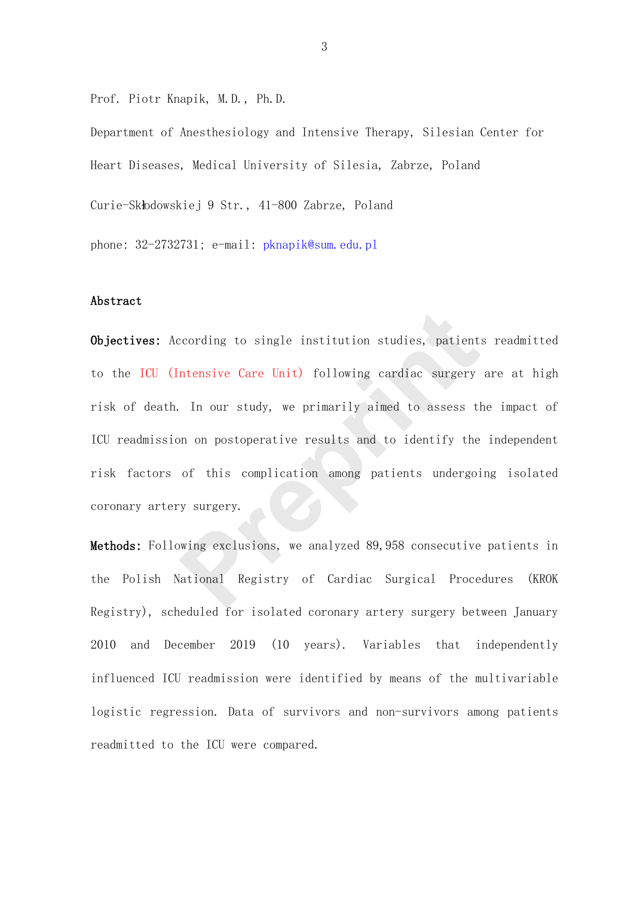Prof. Piotr Knapik, M.D., Ph.D.

Department of Anesthesiology and Intensive Therapy, Silesian Center for Heart Diseases, Medical University of Silesia, Zabrze, Poland Curie-Skłodowskiej 9 Str., 41-800 Zabrze, Poland

phone: 32-2732731; e-mail: pknapik@sum.edu.pl

# Abstract

Objectives: According to single institution studies, patients readmitted to the ICU (Intensive Care Unit) following cardiac surgery are at high risk of death. In our study, we primarily aimed to assess the impact of ICU readmission on postoperative results and to identify the independent risk factors of this complication among patients undergoing isolated coronary artery surgery. coording to single institution studies, patient<br>
ntensive Care Unit) following cardiac surgery<br>
In our study, we primarily aimed to assess the<br>
non postoperative results and to identify the<br>
of this complication among pati

Methods: Following exclusions, we analyzed 89,958 consecutive patients in the Polish National Registry of Cardiac Surgical Procedures (KROK Registry), scheduled for isolated coronary artery surgery between January 2010 and December 2019 (10 years). Variables that independently influenced ICU readmission were identified by means of the multivariable logistic regression. Data of survivors and non-survivors among patients readmitted to the ICU were compared.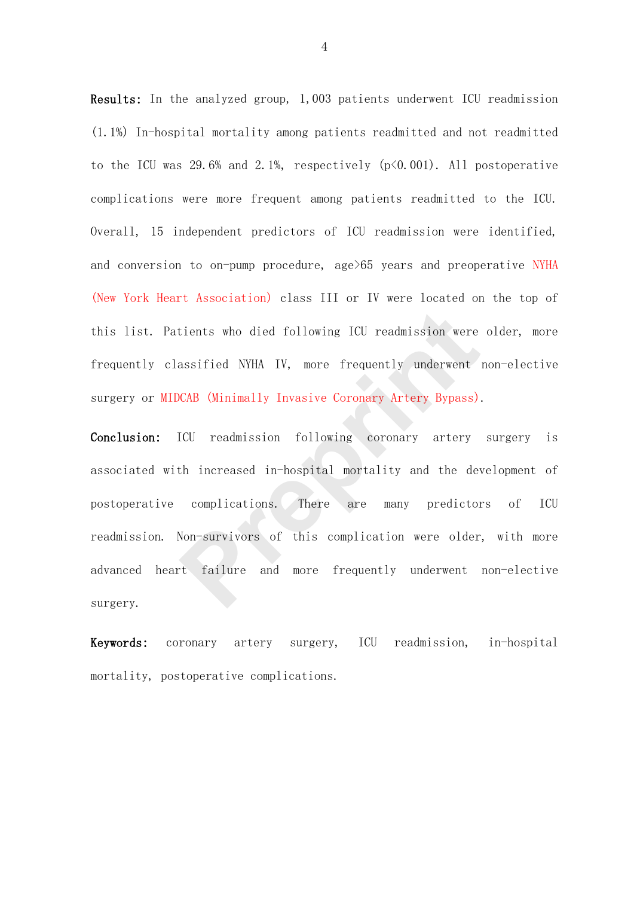Results: In the analyzed group, 1,003 patients underwent ICU readmission (1.1%) In-hospital mortality among patients readmitted and not readmitted to the ICU was 29.6% and 2.1%, respectively (p<0.001). All postoperative complications were more frequent among patients readmitted to the ICU. Overall, 15 independent predictors of ICU readmission were identified, and conversion to on-pump procedure, age>65 years and preoperative NYHA (New York Heart Association) class III or IV were located on the top of this list. Patients who died following ICU readmission were older, more frequently classified NYHA IV, more frequently underwent non-elective surgery or MIDCAB (Minimally Invasive Coronary Artery Bypass).

Conclusion: ICU readmission following coronary artery surgery is associated with increased in-hospital mortality and the development of postoperative complications. There are many predictors of ICU readmission. Non-survivors of this complication were older, with more advanced heart failure and more frequently underwent non-elective surgery. tients who died following ICU readmission were<br>assified NYHA IV, more frequently underwent<br>DCAB (Minimally Invasive Coronary Artery Bypass).<br>ICU readmission following coronary artery<br>th increased in-hospital mortality and

Keywords: coronary artery surgery, ICU readmission, in-hospital mortality, postoperative complications.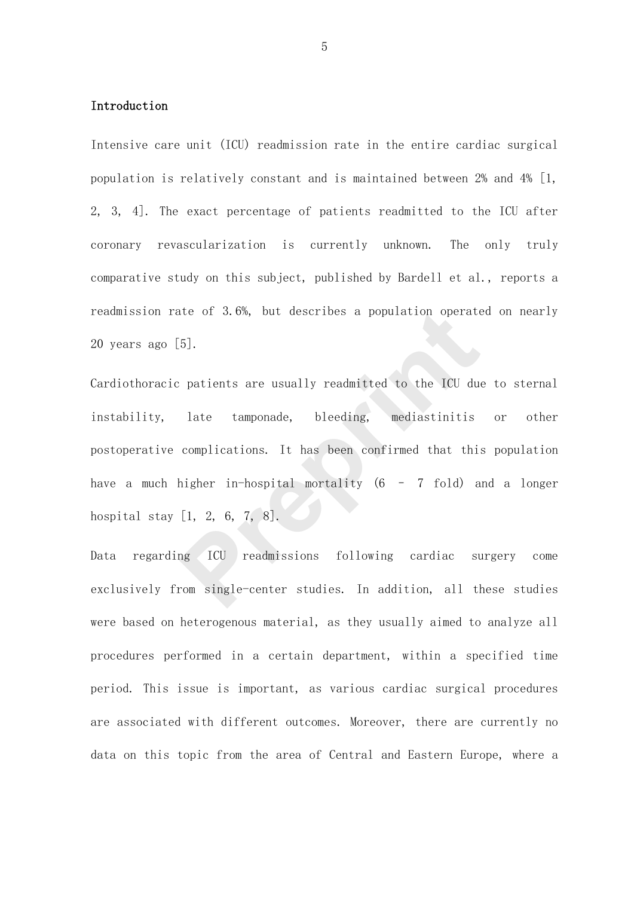## Introduction

Intensive care unit (ICU) readmission rate in the entire cardiac surgical population is relatively constant and is maintained between 2% and 4% [1, 2, 3, 4]. The exact percentage of patients readmitted to the ICU after coronary revascularization is currently unknown. The only truly comparative study on this subject, published by Bardell et al., reports a readmission rate of 3.6%, but describes a population operated on nearly 20 years ago  $\lceil 5 \rceil$ .

Cardiothoracic patients are usually readmitted to the ICU due to sternal instability, late tamponade, bleeding, mediastinitis or other postoperative complications. It has been confirmed that this population have a much higher in-hospital mortality (6 - 7 fold) and a longer hospital stay [1, 2, 6, 7, 8]. ite of 3.6%, but describes a population operate<br>
F.5].<br>
Preprients are usually readmitted to the ICU due<br>
late tamponade, bleeding, mediastinitis<br>
complications. It has been confirmed that this<br>
higher in-hospital mortalit

Data regarding ICU readmissions following cardiac surgery come exclusively from single-center studies. In addition, all these studies were based on heterogenous material, as they usually aimed to analyze all procedures performed in a certain department, within a specified time period. This issue is important, as various cardiac surgical procedures are associated with different outcomes. Moreover, there are currently no data on this topic from the area of Central and Eastern Europe, where a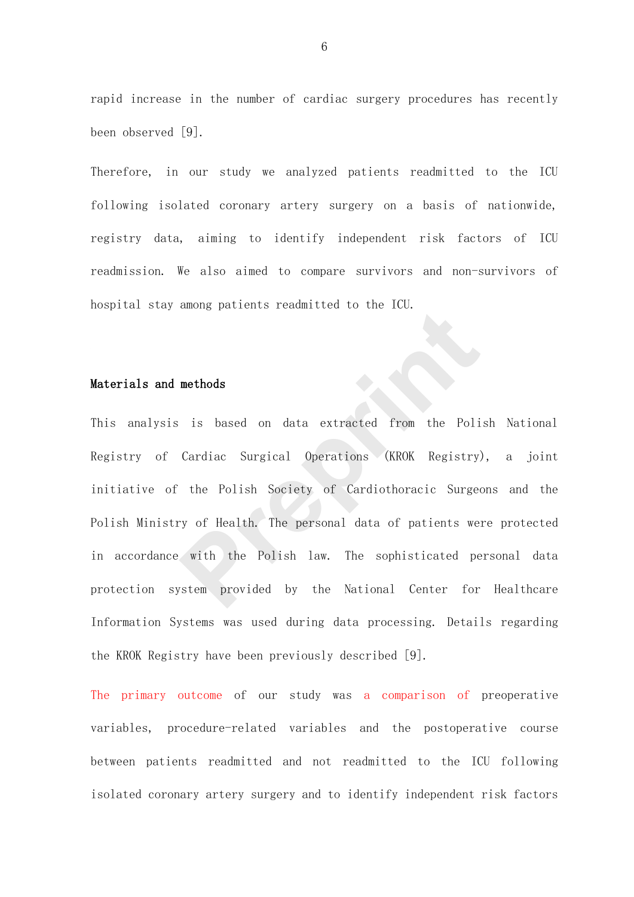rapid increase in the number of cardiac surgery procedures has recently been observed [9].

Therefore, in our study we analyzed patients readmitted to the ICU following isolated coronary artery surgery on a basis of nationwide, registry data, aiming to identify independent risk factors of ICU readmission. We also aimed to compare survivors and non-survivors of hospital stay among patients readmitted to the ICU.

## Materials and methods

This analysis is based on data extracted from the Polish National Registry of Cardiac Surgical Operations (KROK Registry), a joint initiative of the Polish Society of Cardiothoracic Surgeons and the Polish Ministry of Health. The personal data of patients were protected in accordance with the Polish law. The sophisticated personal data protection system provided by the National Center for Healthcare Information Systems was used during data processing. Details regarding the KROK Registry have been previously described [9]. methods<br>
is based on data extracted from the Poli<br>
Cardiac Surgical Operations (KROK Registry)<br>
the Polish Society of Cardiothoracic Surge<br>
ery of Health. The personal data of patients we<br>
with the Polish law. The sophisti

The primary outcome of our study was a comparison of preoperative variables, procedure-related variables and the postoperative course between patients readmitted and not readmitted to the ICU following isolated coronary artery surgery and to identify independent risk factors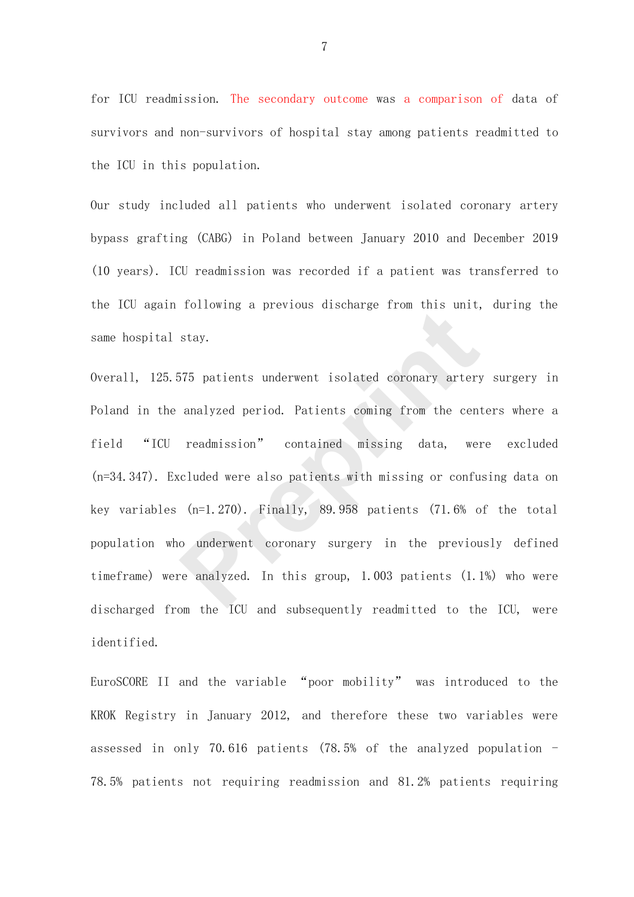for ICU readmission. The secondary outcome was a comparison of data of survivors and non-survivors of hospital stay among patients readmitted to the ICU in this population.

Our study included all patients who underwent isolated coronary artery bypass grafting (CABG) in Poland between January 2010 and December 2019 (10 years). ICU readmission was recorded if a patient was transferred to the ICU again following a previous discharge from this unit, during the same hospital stay.

Overall, 125.575 patients underwent isolated coronary artery surgery in Poland in the analyzed period. Patients coming from the centers where a field "ICU readmission" contained missing data, were excluded (n=34.347). Excluded were also patients with missing or confusing data on key variables (n=1.270). Finally, 89.958 patients (71.6% of the total population who underwent coronary surgery in the previously defined timeframe) were analyzed. In this group, 1.003 patients (1.1%) who were discharged from the ICU and subsequently readmitted to the ICU, were identified. stay.<br>
575 patients underwent isolated coronary artery<br>
analyzed period. Patients coming from the cent<br>
readmission" contained missing data, we<br>
readmission" contained missing data, we<br>
cluded were also patients with missi

EuroSCORE II and the variable "poor mobility" was introduced to the KROK Registry in January 2012, and therefore these two variables were assessed in only 70.616 patients (78.5% of the analyzed population  $-$ 78.5% patients not requiring readmission and 81.2% patients requiring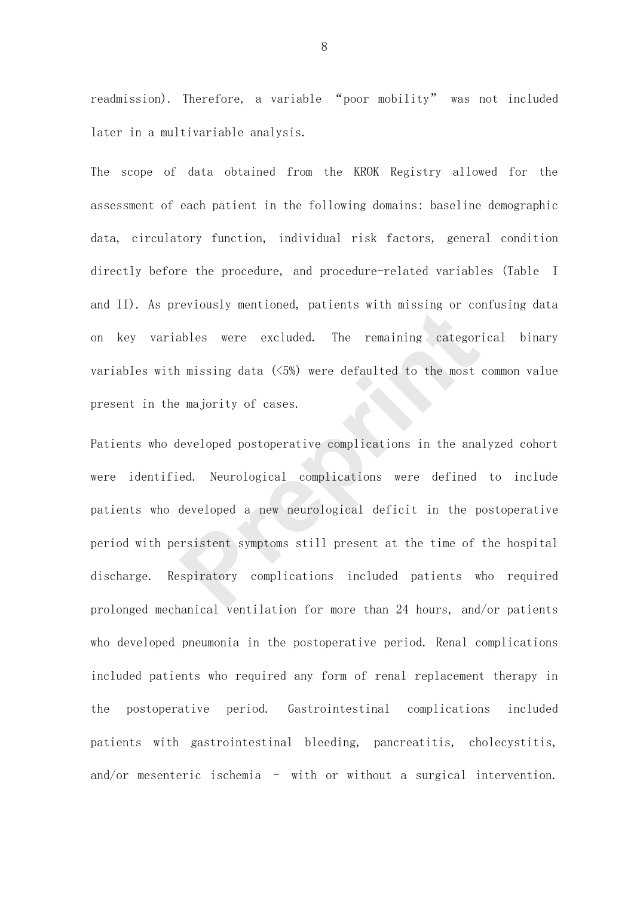readmission). Therefore, a variable "poor mobility" was not included later in a multivariable analysis.

The scope of data obtained from the KROK Registry allowed for the assessment of each patient in the following domains: baseline demographic data, circulatory function, individual risk factors, general condition directly before the procedure, and procedure-related variables (Table I and II). As previously mentioned, patients with missing or confusing data on key variables were excluded. The remaining categorical binary variables with missing data (<5%) were defaulted to the most common value present in the majority of cases.

Patients who developed postoperative complications in the analyzed cohort were identified. Neurological complications were defined to include patients who developed a new neurological deficit in the postoperative period with persistent symptoms still present at the time of the hospital discharge. Respiratory complications included patients who required prolonged mechanical ventilation for more than 24 hours, and/or patients who developed pneumonia in the postoperative period. Renal complications included patients who required any form of renal replacement therapy in the postoperative period. Gastrointestinal complications included patients with gastrointestinal bleeding, pancreatitis, cholecystitis, and/or mesenteric ischemia – with or without a surgical intervention. existant mentioned, partents with missing of complete<br>ables were excluded. The remaining categor<br>majority of cases.<br>Prepriority of cases.<br>Prepriority of cases.<br>Prepriority of cases.<br>Prepriority complications were defined<br>d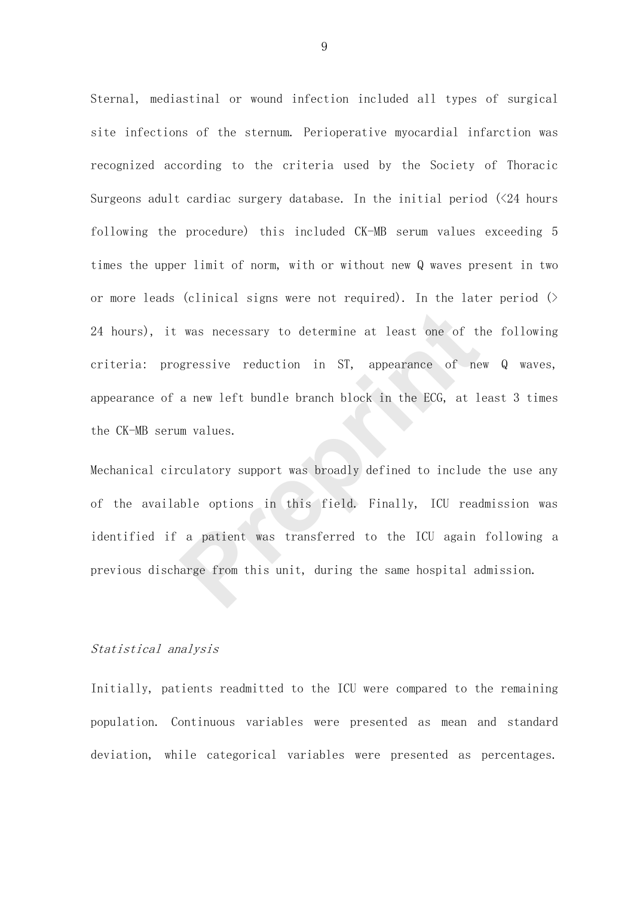Sternal, mediastinal or wound infection included all types of surgical site infections of the sternum. Perioperative myocardial infarction was recognized according to the criteria used by the Society of Thoracic Surgeons adult cardiac surgery database. In the initial period  $(\angle 24$  hours following the procedure) this included CK-MB serum values exceeding 5 times the upper limit of norm, with or without new Q waves present in two or more leads (clinical signs were not required). In the later period  $($ 24 hours), it was necessary to determine at least one of the following criteria: progressive reduction in ST, appearance of new Q waves, appearance of a new left bundle branch block in the ECG, at least 3 times the CK-MB serum values. was necessary to determine at least one of the agressive reduction in ST, appearance of ne<br>a new left bundle branch block in the ECG, at 1<br>am values.<br>culatory support was broadly defined to include<br>ble options in this fiel

Mechanical circulatory support was broadly defined to include the use any of the available options in this field. Finally, ICU readmission was identified if a patient was transferred to the ICU again following a previous discharge from this unit, during the same hospital admission.

## Statistical analysis

Initially, patients readmitted to the ICU were compared to the remaining population. Continuous variables were presented as mean and standard deviation, while categorical variables were presented as percentages.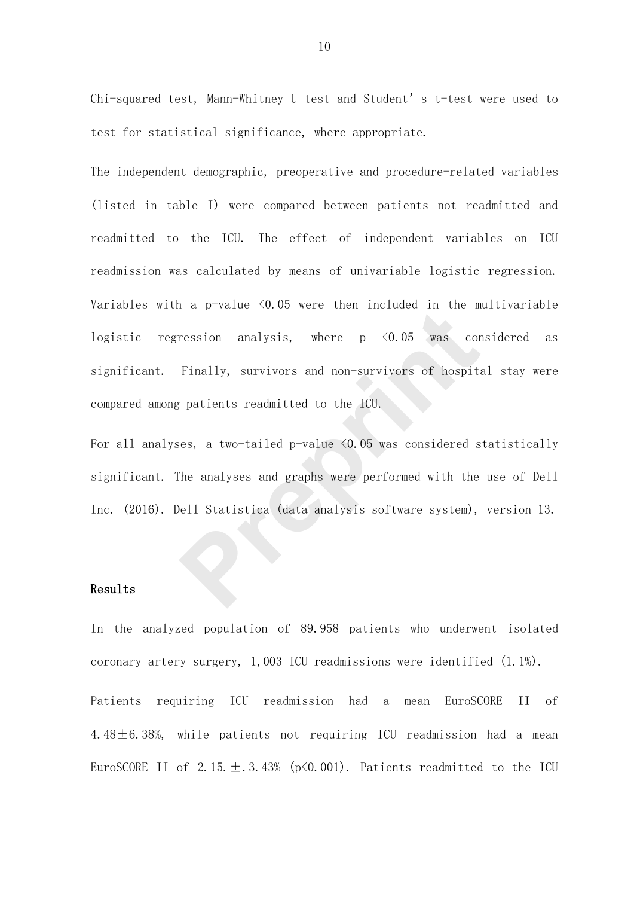Chi-squared test, Mann-Whitney U test and Student's t-test were used to test for statistical significance, where appropriate.

The independent demographic, preoperative and procedure-related variables (listed in table I) were compared between patients not readmitted and readmitted to the ICU. The effect of independent variables on ICU readmission was calculated by means of univariable logistic regression. Variables with a  $p$ -value  $\triangleleft 0.05$  were then included in the multivariable logistic regression analysis, where  $p \leq 0.05$  was considered as significant. Finally, survivors and non-survivors of hospital stay were compared among patients readmitted to the ICU. ression analysis, where p <0.05 was cor<br>Finally, survivors and non-survivors of hospital<br>gradients readmitted to the ICU.<br>Res, a two-tailed p-value <0.05 was considered s<br>The analyses and graphs were performed with the<br>pel

For all analyses, a two-tailed p-value <0.05 was considered statistically significant. The analyses and graphs were performed with the use of Dell Inc. (2016). Dell Statistica (data analysis software system), version 13.

## Results

In the analyzed population of 89.958 patients who underwent isolated coronary artery surgery, 1,003 ICU readmissions were identified (1.1%). Patients requiring ICU readmission had a mean EuroSCORE II of 4.48±6.38%, while patients not requiring ICU readmission had a mean

EuroSCORE II of  $2.15. \pm .3.43\%$  (p $\leq 0.001$ ). Patients readmitted to the ICU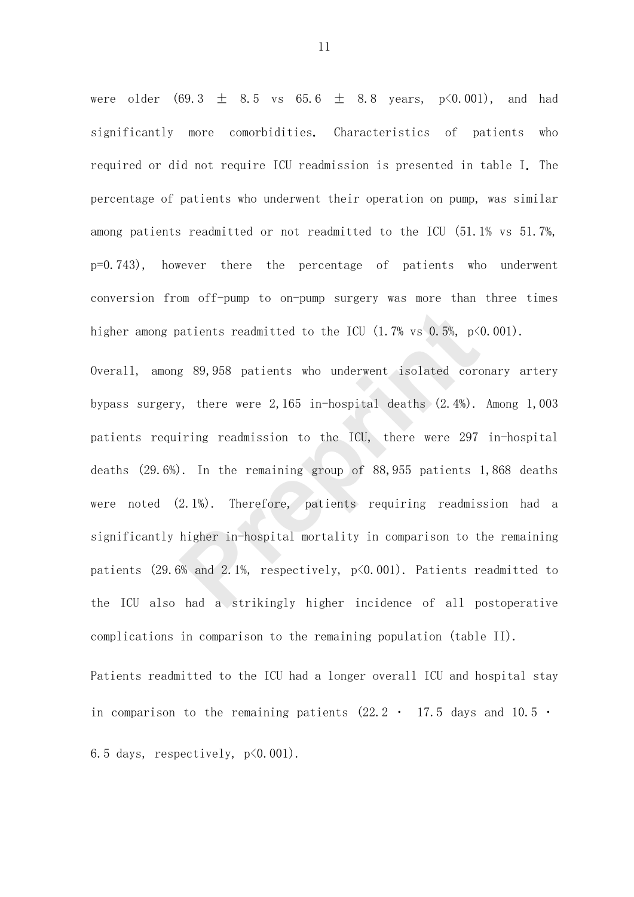were older  $(69.3 \pm 8.5 \text{ vs } 65.6 \pm 8.8 \text{ years}, \text{ p} \le 0.001)$ , and had significantly more comorbidities. Characteristics of patients who required or did not require ICU readmission is presented in table I. The percentage of patients who underwent their operation on pump, was similar among patients readmitted or not readmitted to the ICU (51.1% vs 51.7%, p=0.743), however there the percentage of patients who underwent conversion from off-pump to on-pump surgery was more than three times higher among patients readmitted to the ICU  $(1.7\% \text{ vs } 0.5\%, \text{ p}\leq 0.001)$ .

Overall, among 89,958 patients who underwent isolated coronary artery bypass surgery, there were 2,165 in-hospital deaths (2.4%). Among 1,003 patients requiring readmission to the ICU, there were 297 in-hospital deaths (29.6%). In the remaining group of 88,955 patients 1,868 deaths were noted (2.1%). Therefore, patients requiring readmission had a significantly higher in-hospital mortality in comparison to the remaining patients (29.6% and 2.1%, respectively, p<0.001). Patients readmitted to the ICU also had a strikingly higher incidence of all postoperative complications in comparison to the remaining population (table II). aatients readmitted to the ICU (1.7% vs 0.5%, p<<br>
g 89,958 patients who underwent isolated cords,<br>
prepries a material of the ICU, there were 297<br>
princy readmission to the ICU, there were 297<br>
princy readmission to the IC

Patients readmitted to the ICU had a longer overall ICU and hospital stay in comparison to the remaining patients  $(22.2 \cdot 17.5$  days and 10.5  $\cdot$ 6.5 days, respectively,  $p\leq 0.001$ ).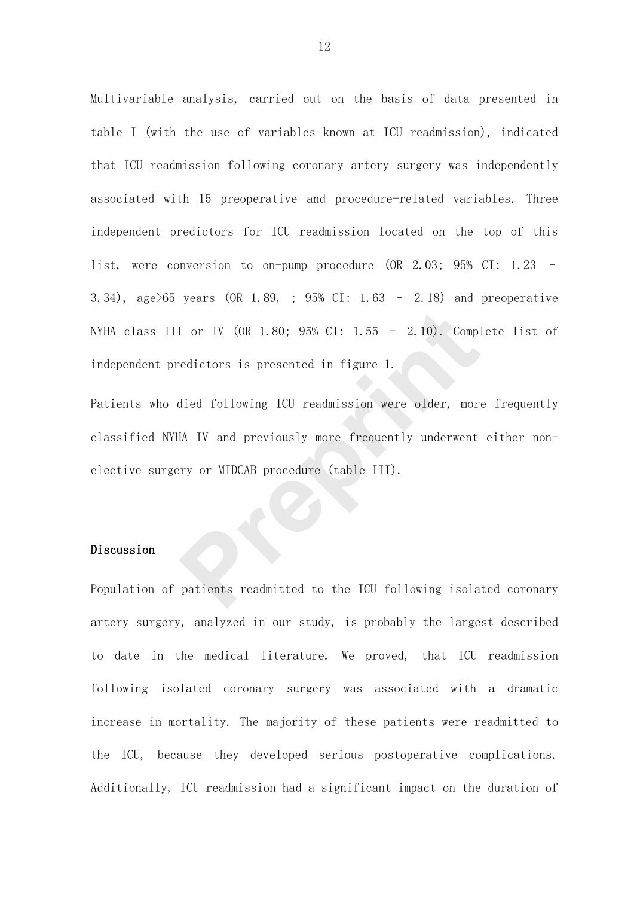Multivariable analysis, carried out on the basis of data presented in table I (with the use of variables known at ICU readmission), indicated that ICU readmission following coronary artery surgery was independently associated with 15 preoperative and procedure-related variables. Three independent predictors for ICU readmission located on the top of this list, were conversion to on-pump procedure (OR 2.03; 95% CI: 1.23 – 3.34), age>65 years (OR 1.89, ; 95% CI: 1.63 – 2.18) and preoperative NYHA class III or IV (OR 1.80; 95% CI: 1.55 – 2.10). Complete list of independent predictors is presented in figure 1.

Patients who died following ICU readmission were older, more frequently classified NYHA IV and previously more frequently underwent either nonelective surgery or MIDCAB procedure (table III). I or IV (OR 1.80; 95% CI: 1.55 – 2.10). Compledictors is presented in figure 1.<br> **Prepriets and in the UP of the UP of the UP of the UP of the UP of the UP of the UP of the UP of the UP of the UP of the Patients readmitted** 

# Discussion

Population of patients readmitted to the ICU following isolated coronary artery surgery, analyzed in our study, is probably the largest described to date in the medical literature. We proved, that ICU readmission following isolated coronary surgery was associated with a dramatic increase in mortality. The majority of these patients were readmitted to the ICU, because they developed serious postoperative complications. Additionally, ICU readmission had a significant impact on the duration of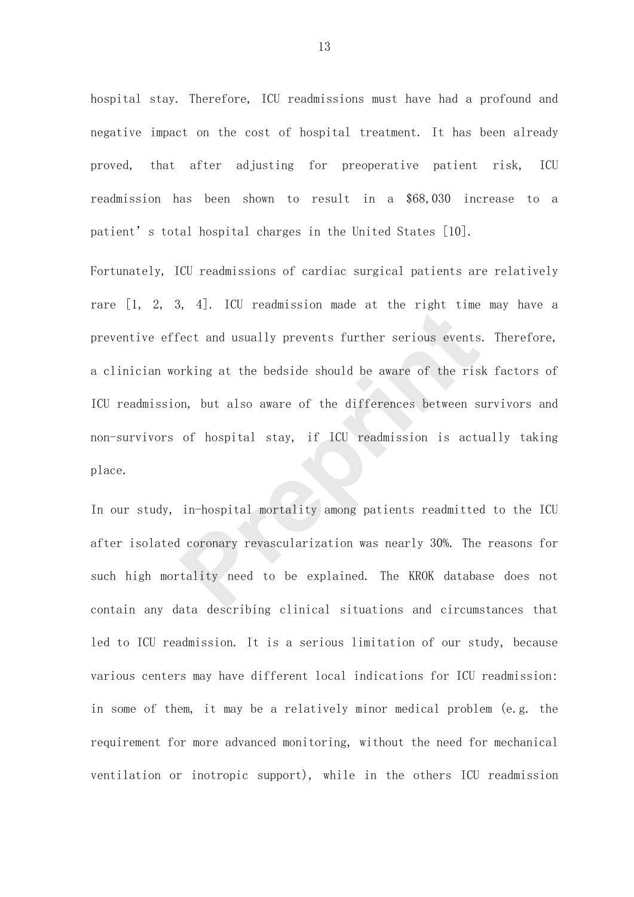hospital stay. Therefore, ICU readmissions must have had a profound and negative impact on the cost of hospital treatment. It has been already proved, that after adjusting for preoperative patient risk, ICU readmission has been shown to result in a \$68,030 increase to a patient's total hospital charges in the United States [10].

Fortunately, ICU readmissions of cardiac surgical patients are relatively rare [1, 2, 3, 4]. ICU readmission made at the right time may have a preventive effect and usually prevents further serious events. Therefore, a clinician working at the bedside should be aware of the risk factors of ICU readmission, but also aware of the differences between survivors and non-survivors of hospital stay, if ICU readmission is actually taking place. For the Hammar and at the Tight time<br>
Pect and usually prevents further serious events<br>
prking at the bedside should be aware of the ris<br>
on, but also aware of the differences between s<br>
of hospital stay, if ICU readmissio

In our study, in-hospital mortality among patients readmitted to the ICU after isolated coronary revascularization was nearly 30%. The reasons for such high mortality need to be explained. The KROK database does not contain any data describing clinical situations and circumstances that led to ICU readmission. It is a serious limitation of our study, because various centers may have different local indications for ICU readmission: in some of them, it may be a relatively minor medical problem (e.g. the requirement for more advanced monitoring, without the need for mechanical ventilation or inotropic support), while in the others ICU readmission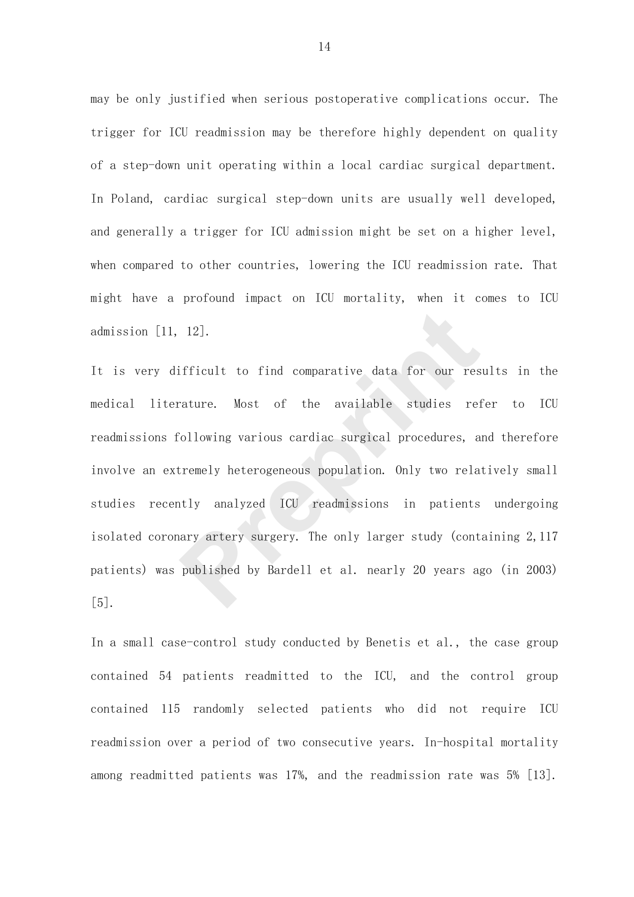may be only justified when serious postoperative complications occur. The trigger for ICU readmission may be therefore highly dependent on quality of a step-down unit operating within a local cardiac surgical department. In Poland, cardiac surgical step-down units are usually well developed, and generally a trigger for ICU admission might be set on a higher level, when compared to other countries, lowering the ICU readmission rate. That might have a profound impact on ICU mortality, when it comes to ICU admission [11, 12].

It is very difficult to find comparative data for our results in the medical literature. Most of the available studies refer to ICU readmissions following various cardiac surgical procedures, and therefore involve an extremely heterogeneous population. Only two relatively small studies recently analyzed ICU readmissions in patients undergoing isolated coronary artery surgery. The only larger study (containing 2,117 patients) was published by Bardell et al. nearly 20 years ago (in 2003) [5]. 12].<br>**Example 12**<br>**Prepriet in the comparative data for our restaure.** Most of the available studies refollowing various cardiac surgical procedures, a<br>**Premely heterogeneous population.** Only two relative analyzed ICU rea

In a small case-control study conducted by Benetis et al., the case group contained 54 patients readmitted to the ICU, and the control group contained 115 randomly selected patients who did not require ICU readmission over a period of two consecutive years. In-hospital mortality among readmitted patients was 17%, and the readmission rate was 5% [13].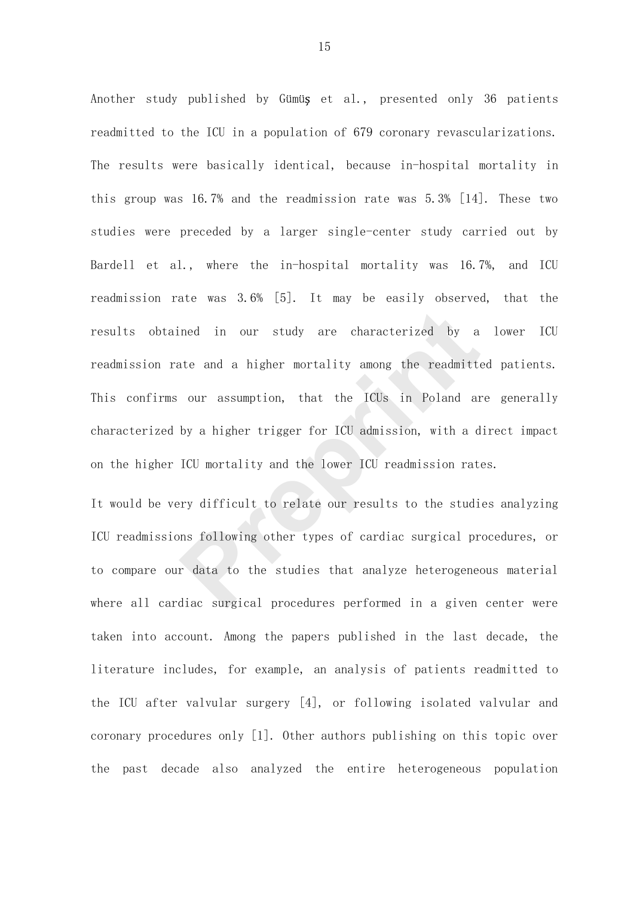Another study published by Gümüş et al., presented only 36 patients readmitted to the ICU in a population of 679 coronary revascularizations. The results were basically identical, because in-hospital mortality in this group was 16.7% and the readmission rate was 5.3% [14]. These two studies were preceded by a larger single-center study carried out by Bardell et al., where the in-hospital mortality was 16.7%, and ICU readmission rate was 3.6% [5]. It may be easily observed, that the results obtained in our study are characterized by a lower ICU readmission rate and a higher mortality among the readmitted patients. This confirms our assumption, that the ICUs in Poland are generally characterized by a higher trigger for ICU admission, with a direct impact on the higher ICU mortality and the lower ICU readmission rates. ined in our study are characterized by a<br>ate and a higher mortality among the readmitt<br>our assumption, that the ICUs in Poland ar<br>by a higher trigger for ICU admission, with a d<br>ICU mortality and the lower ICU readmission

It would be very difficult to relate our results to the studies analyzing ICU readmissions following other types of cardiac surgical procedures, or to compare our data to the studies that analyze heterogeneous material where all cardiac surgical procedures performed in a given center were taken into account. Among the papers published in the last decade, the literature includes, for example, an analysis of patients readmitted to the ICU after valvular surgery [4], or following isolated valvular and coronary procedures only [1]. Other authors publishing on this topic over the past decade also analyzed the entire heterogeneous population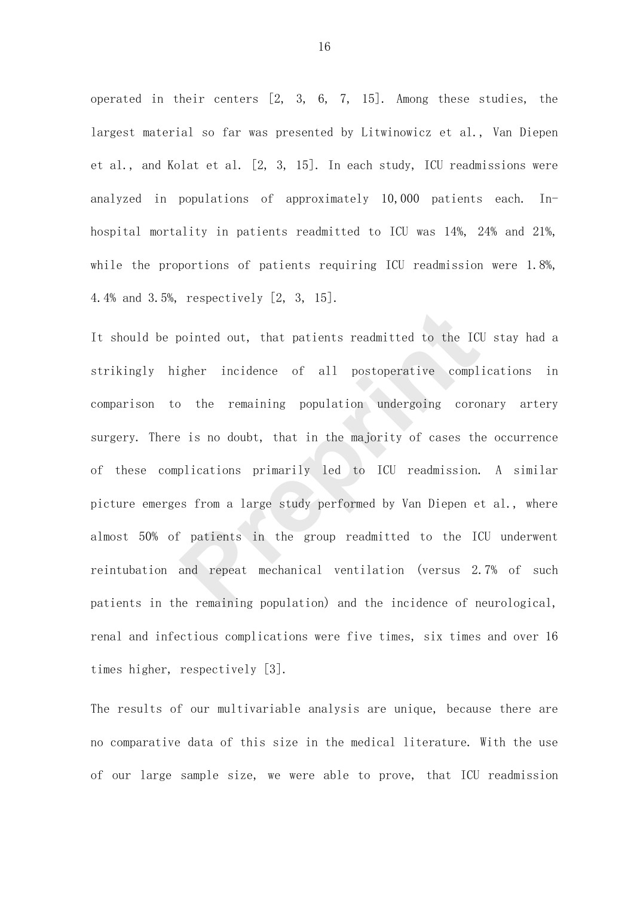operated in their centers [2, 3, 6, 7, 15]. Among these studies, the largest material so far was presented by Litwinowicz et al., Van Diepen et al., and Kolat et al. [2, 3, 15]. In each study, ICU readmissions were analyzed in populations of approximately 10,000 patients each. Inhospital mortality in patients readmitted to ICU was 14%, 24% and 21%, while the proportions of patients requiring ICU readmission were 1.8%, 4.4% and 3.5%, respectively [2, 3, 15].

It should be pointed out, that patients readmitted to the ICU stay had a strikingly higher incidence of all postoperative complications in comparison to the remaining population undergoing coronary artery surgery. There is no doubt, that in the majority of cases the occurrence of these complications primarily led to ICU readmission. A similar picture emerges from a large study performed by Van Diepen et al., where almost 50% of patients in the group readmitted to the ICU underwent reintubation and repeat mechanical ventilation (versus 2.7% of such patients in the remaining population) and the incidence of neurological, renal and infectious complications were five times, six times and over 16 times higher, respectively [3]. cointed out, that patients readmitted to the ICI<br>
igher incidence of all postoperative compl<br>
<sup>p</sup> the remaining population undergoing coro:<br>
<sup>p</sup> is no doubt, that in the majority of cases th<br>
plications primarily led to IC

The results of our multivariable analysis are unique, because there are no comparative data of this size in the medical literature. With the use of our large sample size, we were able to prove, that ICU readmission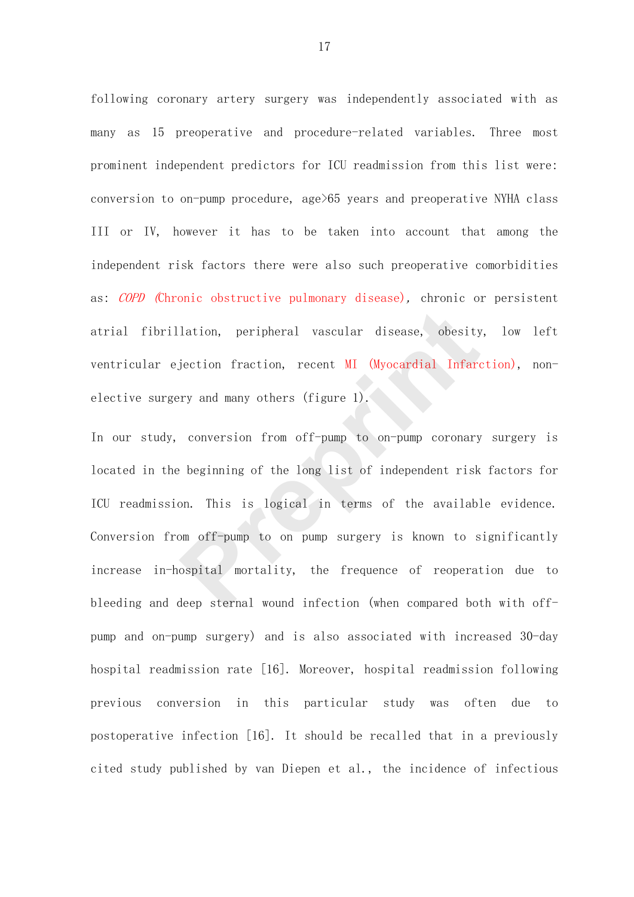following coronary artery surgery was independently associated with as many as 15 preoperative and procedure-related variables. Three most prominent independent predictors for ICU readmission from this list were: conversion to on-pump procedure, age>65 years and preoperative NYHA class III or IV, however it has to be taken into account that among the independent risk factors there were also such preoperative comorbidities as: *COPD* (Chronic obstructive pulmonary disease), chronic or persistent atrial fibrillation, peripheral vascular disease, obesity, low left ventricular ejection fraction, recent MI (Myocardial Infarction), nonelective surgery and many others (figure 1).

In our study, conversion from off-pump to on-pump coronary surgery is located in the beginning of the long list of independent risk factors for ICU readmission. This is logical in terms of the available evidence. Conversion from off-pump to on pump surgery is known to significantly increase in-hospital mortality, the frequence of reoperation due to bleeding and deep sternal wound infection (when compared both with offpump and on-pump surgery) and is also associated with increased 30-day hospital readmission rate [16]. Moreover, hospital readmission following previous conversion in this particular study was often due to postoperative infection [16]. It should be recalled that in a previously cited study published by van Diepen et al., the incidence of infectious lation, peripheral vascular disease, obesity<br>jection fraction, recent MI (Myocardial Infarc<br>ry and many others (figure 1).<br>conversion from off-pump to on-pump coronary<br>beginning of the long list of independent risk<br>on. Thi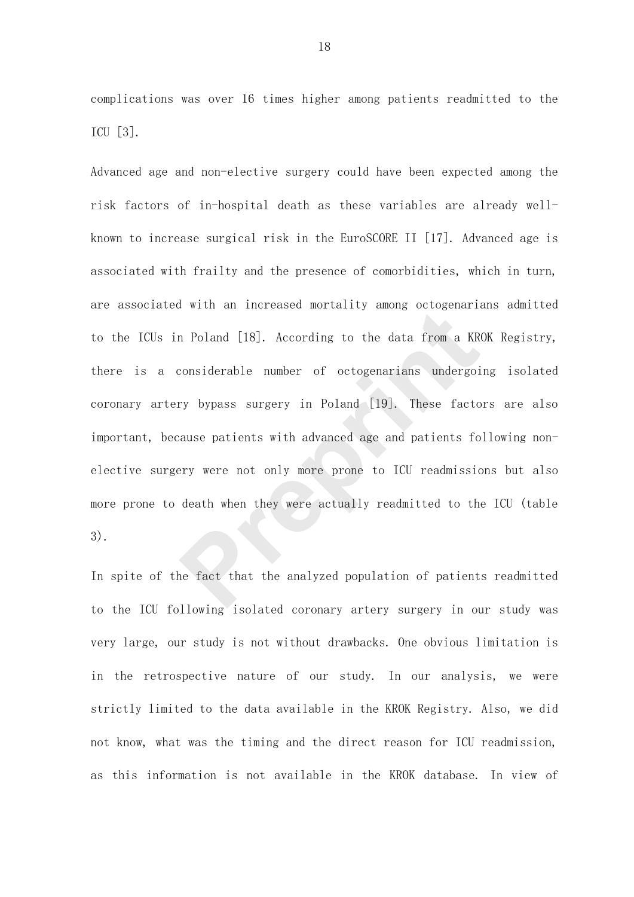complications was over 16 times higher among patients readmitted to the ICU [3].

Advanced age and non-elective surgery could have been expected among the risk factors of in-hospital death as these variables are already wellknown to increase surgical risk in the EuroSCORE II [17]. Advanced age is associated with frailty and the presence of comorbidities, which in turn, are associated with an increased mortality among octogenarians admitted to the ICUs in Poland [18]. According to the data from a KROK Registry, there is a considerable number of octogenarians undergoing isolated coronary artery bypass surgery in Poland [19]. These factors are also important, because patients with advanced age and patients following nonelective surgery were not only more prone to ICU readmissions but also more prone to death when they were actually readmitted to the ICU (table 3). In Poland [18]. According to the data from a KR<br>considerable number of octogenarians undergoing<br>ry bypass surgery in Poland [19]. These facto<br>cause patients with advanced age and patients fo<br>ery were not only more prone to

In spite of the fact that the analyzed population of patients readmitted to the ICU following isolated coronary artery surgery in our study was very large, our study is not without drawbacks. One obvious limitation is in the retrospective nature of our study. In our analysis, we were strictly limited to the data available in the KROK Registry. Also, we did not know, what was the timing and the direct reason for ICU readmission, as this information is not available in the KROK database. In view of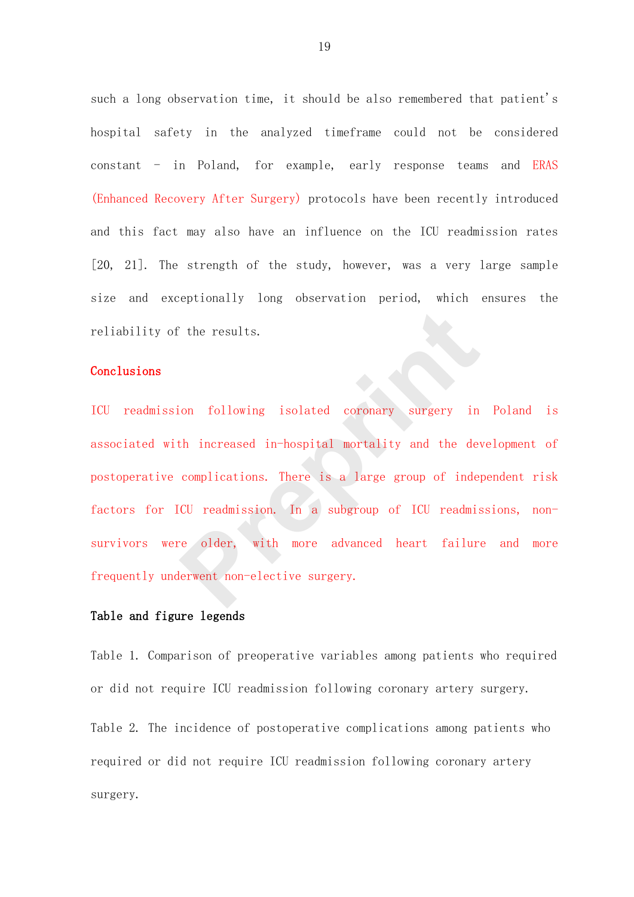such a long observation time, it should be also remembered that patient's hospital safety in the analyzed timeframe could not be considered constant - in Poland, for example, early response teams and ERAS (Enhanced Recovery After Surgery) protocols have been recently introduced and this fact may also have an influence on the ICU readmission rates [20, 21]. The strength of the study, however, was a very large sample size and exceptionally long observation period, which ensures the reliability of the results.

## Conclusions

ICU readmission following isolated coronary surgery in Poland is associated with increased in-hospital mortality and the development of postoperative complications. There is a large group of independent risk factors for ICU readmission. In a subgroup of ICU readmissions, nonsurvivors were older, with more advanced heart failure and more frequently underwent non-elective surgery. The results.<br>
ion following isolated coronary surgery in<br>
th increased in-hospital mortality and the dev<br>
complications. There is a large group of inde<br>
CU readmission. In a subgroup of ICU readmis<br>
re older, with more adv

## Table and figure legends

Table 1. Comparison of preoperative variables among patients who required or did not require ICU readmission following coronary artery surgery.

Table 2. The incidence of postoperative complications among patients who required or did not require ICU readmission following coronary artery surgery.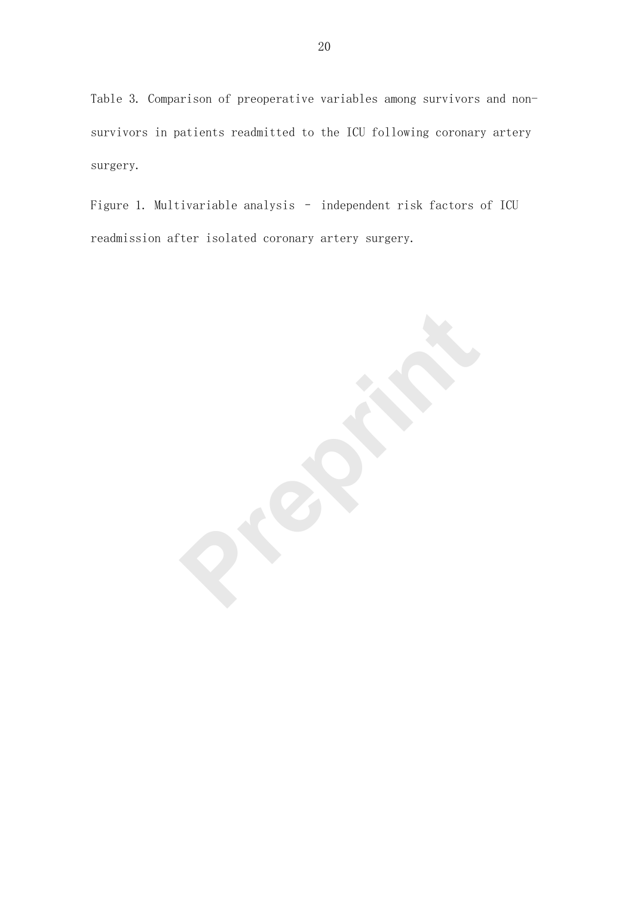Table 3. Comparison of preoperative variables among survivors and nonsurvivors in patients readmitted to the ICU following coronary artery surgery.

Figure 1. Multivariable analysis – independent risk factors of ICU readmission after isolated coronary artery surgery.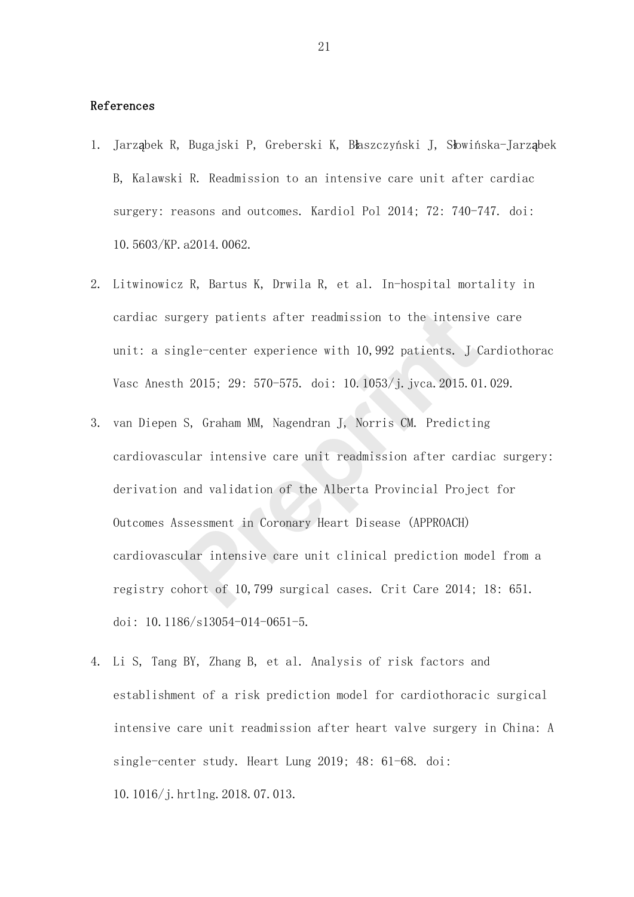## References

- 1. Jarząbek R, Bugajski P, Greberski K, Błaszczyński J, Słowińska-Jarząbek B, Kalawski R. Readmission to an intensive care unit after cardiac surgery: reasons and outcomes. Kardiol Pol 2014; 72: 740-747. doi: 10.5603/KP.a2014.0062.
- 2. Litwinowicz R, Bartus K, Drwila R, et al. In-hospital mortality in cardiac surgery patients after readmission to the intensive care unit: a single-center experience with 10,992 patients. J Cardiothorac Vasc Anesth 2015; 29: 570-575. doi: 10.1053/j.jvca.2015.01.029.
- 3. van Diepen S, Graham MM, Nagendran J, Norris CM. Predicting cardiovascular intensive care unit readmission after cardiac surgery: derivation and validation of the Alberta Provincial Project for Outcomes Assessment in Coronary Heart Disease (APPROACH) cardiovascular intensive care unit clinical prediction model from a registry cohort of 10,799 surgical cases. Crit Care 2014; 18: 651. doi: 10.1186/s13054-014-0651-5. rgery patients after readmission to the intensive<br>mgle-center experience with 10,992 patients. J (<br>h 2015; 29: 570-575. doi: 10.1053/j.jvca.2015.01<br>S, Graham MM, Nagendran J, Norris CM. Predictin<br>ular intensive care unit r
- 4. Li S, Tang BY, Zhang B, et al. Analysis of risk factors and establishment of a risk prediction model for cardiothoracic surgical intensive care unit readmission after heart valve surgery in China: A single-center study. Heart Lung 2019; 48: 61-68. doi: 10.1016/j.hrtlng.2018.07.013.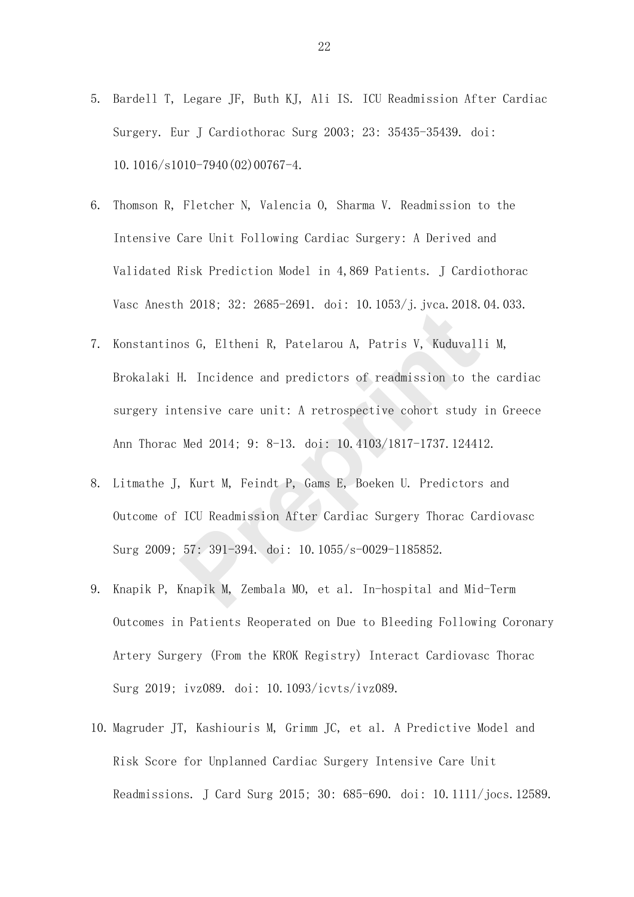- 5. Bardell T, Legare JF, Buth KJ, Ali IS. ICU Readmission After Cardiac Surgery. Eur J Cardiothorac Surg 2003; 23: 35435-35439. doi: 10.1016/s1010-7940(02)00767-4.
- 6. Thomson R, Fletcher N, Valencia O, Sharma V. Readmission to the Intensive Care Unit Following Cardiac Surgery: A Derived and Validated Risk Prediction Model in 4,869 Patients. J Cardiothorac Vasc Anesth 2018; 32: 2685-2691. doi: 10.1053/j.jvca.2018.04.033.
- 7. Konstantinos G, Eltheni R, Patelarou A, Patris V, Kuduvalli M, Brokalaki H. Incidence and predictors of readmission to the cardiac surgery intensive care unit: A retrospective cohort study in Greece Ann Thorac Med 2014; 9: 8-13. doi: 10.4103/1817-1737.124412. os G, Eltheni R, Patelarou A, Patris V, Kuduvall<br>H. Incidence and predictors of readmission to the<br>tensive care unit: A retrospective cohort study<br>Med 2014; 9: 8-13. doi: 10.4103/1817-1737.12441<br>, Kurt M, Feindt P, Gams E,
- 8. Litmathe J, Kurt M, Feindt P, Gams E, Boeken U. Predictors and Outcome of ICU Readmission After Cardiac Surgery Thorac Cardiovasc Surg 2009; 57: 391-394. doi: 10.1055/s-0029-1185852.
- 9. Knapik P, Knapik M, Zembala MO, et al. In-hospital and Mid-Term Outcomes in Patients Reoperated on Due to Bleeding Following Coronary Artery Surgery (From the KROK Registry) Interact Cardiovasc Thorac Surg 2019; ivz089. doi: 10.1093/icvts/ivz089.
- 10. Magruder JT, Kashiouris M, Grimm JC, et al. A Predictive Model and Risk Score for Unplanned Cardiac Surgery Intensive Care Unit Readmissions. J Card Surg 2015; 30: 685-690. doi: 10.1111/jocs.12589.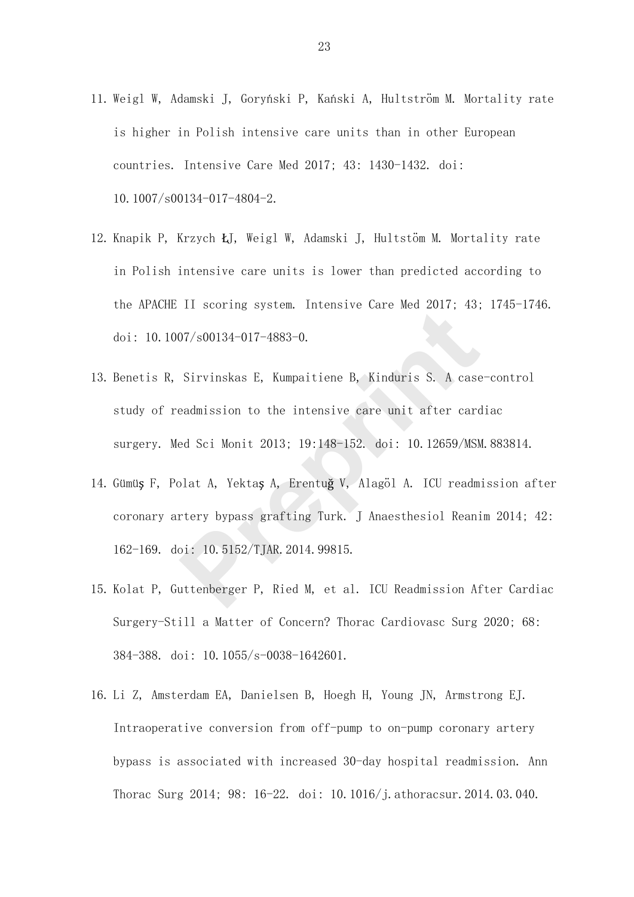- 11. Weigl W, Adamski J, Goryński P, Kański A, Hultström M. Mortality rate is higher in Polish intensive care units than in other European countries. Intensive Care Med 2017; 43: 1430-1432. doi: 10.1007/s00134-017-4804-2.
- 12. Knapik P, Krzych ŁJ, Weigl W, Adamski J, Hultstöm M. Mortality rate in Polish intensive care units is lower than predicted according to the APACHE II scoring system. Intensive Care Med 2017; 43; 1745-1746. doi: 10.1007/s00134-017-4883-0.
- 13. Benetis R, Sirvinskas E, Kumpaitiene B, Kinduris S. A case-control study of readmission to the intensive care unit after cardiac surgery. Med Sci Monit 2013; 19:148-152. doi: 10.12659/MSM.883814. 07/s00134-017-4883-0.<br>
Sirvinskas E, Kumpaitiene B, Kinduris S. A case<br>
eadmission to the intensive care unit after card<br>
ed Sci Monit 2013; 19:148-152. doi: 10.12659/MSM<br>
plat A, Yektaş A, Erentuğ V, Alagöl A. ICU readm<br>
- 14. Gümüş F, Polat A, Yektaş A, Erentuğ V, Alagöl A. ICU readmission after coronary artery bypass grafting Turk. J Anaesthesiol Reanim 2014; 42: 162-169. doi: 10.5152/TJAR.2014.99815.
- 15. Kolat P, Guttenberger P, Ried M, et al. ICU Readmission After Cardiac Surgery-Still a Matter of Concern? Thorac Cardiovasc Surg 2020; 68: 384-388. doi: 10.1055/s-0038-1642601.
- 16. Li Z, Amsterdam EA, Danielsen B, Hoegh H, Young JN, Armstrong EJ. Intraoperative conversion from off-pump to on-pump coronary artery bypass is associated with increased 30-day hospital readmission. Ann Thorac Surg 2014; 98: 16-22. doi: 10.1016/j.athoracsur.2014.03.040.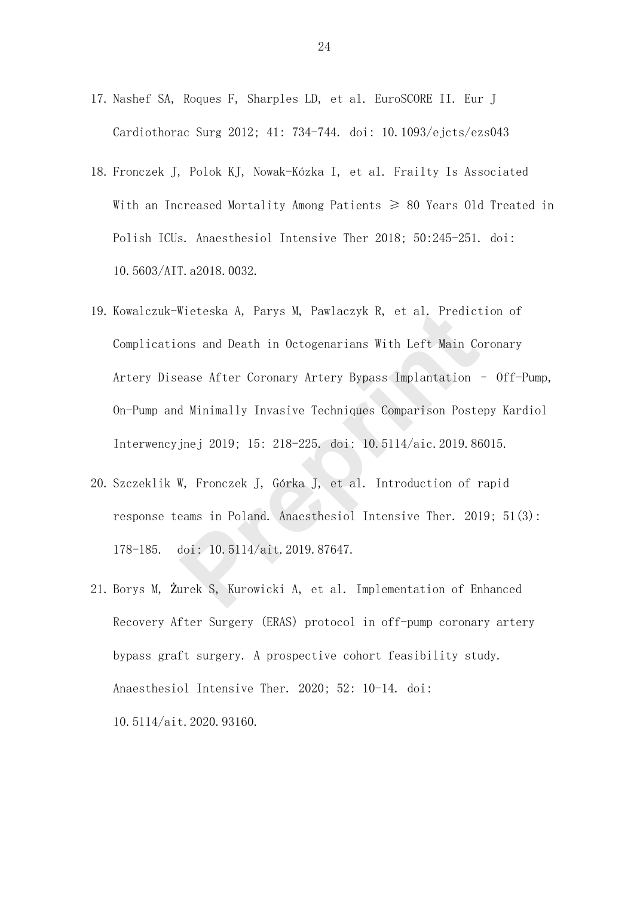- 17. Nashef SA, Roques F, Sharples LD, et al. EuroSCORE II. Eur J Cardiothorac Surg 2012; 41: 734-744. doi: 10.1093/ejcts/ezs043
- 18. Fronczek J, Polok KJ, Nowak-Kózka I, et al. Frailty Is Associated With an Increased Mortality Among Patients  $\geq$  80 Years Old Treated in Polish ICUs. Anaesthesiol Intensive Ther 2018; 50:245-251. doi: 10.5603/AIT.a2018.0032.
- 19. Kowalczuk-Wieteska A, Parys M, Pawlaczyk R, et al. Prediction of Complications and Death in Octogenarians With Left Main Coronary Artery Disease After Coronary Artery Bypass Implantation – Off-Pump, On-Pump and Minimally Invasive Techniques Comparison Postepy Kardiol Interwencyjnej 2019; 15: 218-225. doi: 10.5114/aic.2019.86015. Wieteska A, Parys M, Pawlaczyk R, et al. Predict<br>ons and Death in Octogenarians With Left Main Cc<br>ease After Coronary Artery Bypass Implantation<br>d Minimally Invasive Techniques Comparison Poste<br>jnej 2019; 15: 218-225. doi:
- 20. Szczeklik W, Fronczek J, Górka J, et al. Introduction of rapid response teams in Poland. Anaesthesiol Intensive Ther. 2019; 51(3): 178-185. doi: 10.5114/ait.2019.87647.
- 21. Borys M, Żurek S, Kurowicki A, et al. Implementation of Enhanced Recovery After Surgery (ERAS) protocol in off-pump coronary artery bypass graft surgery. A prospective cohort feasibility study. Anaesthesiol Intensive Ther. 2020; 52: 10-14. doi: 10.5114/ait.2020.93160.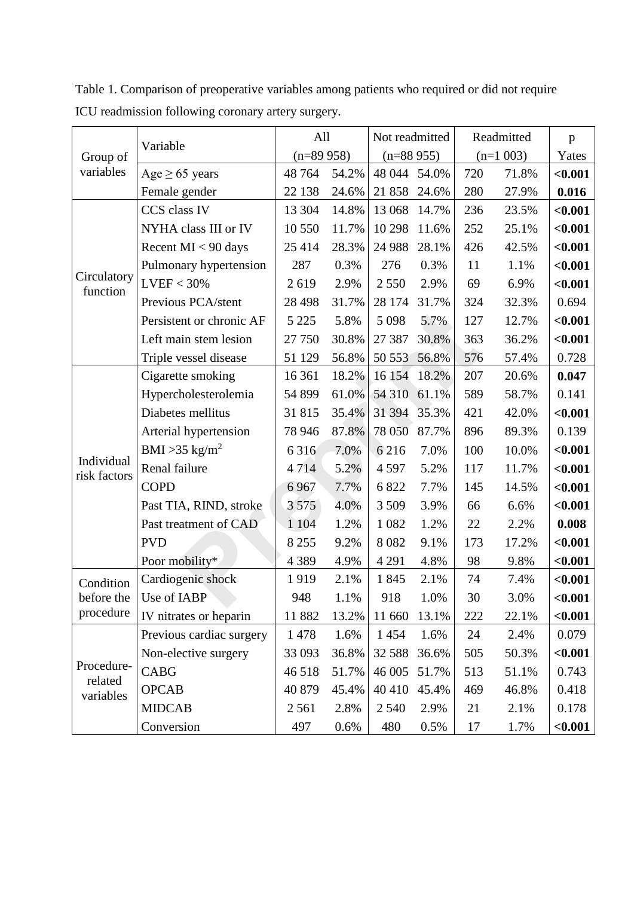Group of variables Variable All Not readmitted Readmitted p  $(n=89958)$   $(n=88955)$   $(n=1003)$  Yates Age ≥ 65 years 48 764 54.2% 48 044 54.0% 720 71.8% **<0.001** Female gender 22 138 24.6% 21 858 24.6% 280 27.9% **0.016 Circulatory** function CCS class IV 13 304 14.8% 13 068 14.7% 236 23.5% **<0.001** NYHA class III or IV 10 550 11.7% 10 298 11.6% 252 25.1% **<0.001** Recent MI < 90 days 25 414 28.3% 24 988 28.1% 426 42.5% **<0.001** Pulmonary hypertension | 287 0.3% | 276 0.3% | 11 1.1%  $\vert$  <0.001  $LVEF < 30\%$  <br> 2 619 2.9% 2.550 2.9% 6.9%  $\sim$  1.001 Previous PCA/stent | 28 498 31.7% | 28 174 31.7% | 324 32.3% | 0.694 Persistent or chronic AF 5 225 5.8% 5 098 5.7% 127 12.7% **<0.001** Left main stem lesion | 27 750 30.8% | 27 387 30.8% | 363 36.2% | <0.001 Triple vessel disease  $\begin{array}{|l|l|l|} \hline 51 129 & 56.8\% & 50 553 & 56.8\% & 576 & 57.4\% & 0.728 \hline \end{array}$ Individual risk factors Cigarette smoking 16 361 18.2% 16 154 18.2% 207 20.6% **0.047** Hypercholesterolemia | 54 899 61.0% 54 310 61.1% | 589 58.7% | 0.141 Diabetes mellitus 31 815 35.4% 31 394 35.3% 421 42.0% **<0.001** Arterial hypertension | 78 946 87.8% | 78 050 87.7% | 896 89.3% | 0.139 BMI  $>35$  kg/m<sup>2</sup> 6 316 7.0% 6 216 7.0% 100 10.0% **<0.001** Renal failure 4 714 5.2% 4 597 5.2% 117 11.7% **<0.001** COPD 6 967 7.7% 6 822 7.7% 145 14.5% **<0.001** Past TIA, RIND, stroke  $\begin{vmatrix} 3.575 & 4.0\% & 3.509 & 3.9\% \end{vmatrix}$  66 6.6%  $\begin{vmatrix} 6.6\% & 6.6\% \end{vmatrix}$ Past treatment of CAD 1 104 1.2% 1 082 1.2% 2.2% **0.008** PVD 8 255 9.2% 8 082 9.1% 173 17.2% **<0.001** Poor mobility\* 4 389 4.9% 4 291 4.8% 98 9.8% <0.001 Condition before the procedure Cardiogenic shock 1 919 2.1% 1 845 2.1% 74 7.4% **<0.001** Use of IABP 1.948 1.1% 918 1.0% 30 3.0% <0.001 IV nitrates or heparin 11 882 13.2% 11 660 13.1% 222 22.1% **<0.001** Procedurerelated variables Previous cardiac surgery | 1 478 1.6% | 1 454 1.6% | 24 2.4% | 0.079 Non-elective surgery | 33 093 36.8% 32 588 36.6% | 505 50.3% | <0.001 CABG  $\begin{array}{|c|c|c|c|c|c|c|c|c|} \hline & 46\,518 & 51.7\% & 46\,005 & 51.7\% & 513 & 51.1\% & 0.743 \hline \end{array}$ OPCAB 140 879 45.4% 40 410 45.4% 469 46.8% 0.418 MIDCAB 2561 2.8% 2540 2.9% 21 2.1% 0.178 Conversion 497 0.6% 480 0.5% 17 1.7% **<0.001** Prepriod AF 5 225 5.8% 5 098 5.7% 127<br>
in stem lesion 27 750 30.8% 27 387 30.8% 363<br>
<u>Pressel disease 51 129 56.8% 50 553 56.8% 576</u><br>
te smoking 16 361 18.2% 16 154 18.2% 207<br>
holesterolemia 54 899 61.0% 54 310 61.1% 589<br>

Table 1. Comparison of preoperative variables among patients who required or did not require ICU readmission following coronary artery surgery.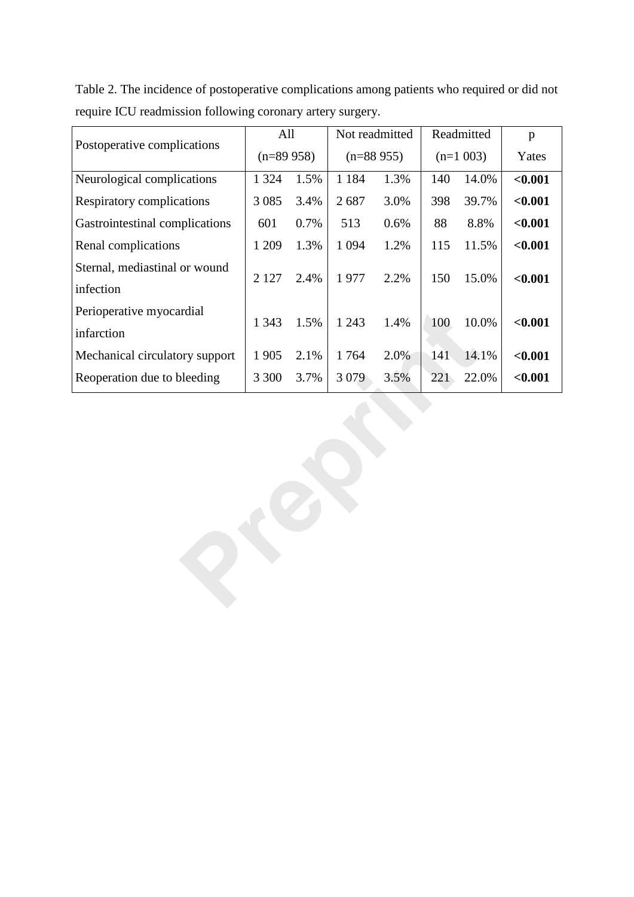| Postoperative complications      | All         |      | Not readmitted |             | Readmitted |            | p       |
|----------------------------------|-------------|------|----------------|-------------|------------|------------|---------|
|                                  | $(n=89958)$ |      |                | $(n=88955)$ |            | $(n=1003)$ | Yates   |
| Neurological complications       | 1 3 2 4     | 1.5% | 1 1 8 4        | 1.3%        | 140        | 14.0%      | < 0.001 |
| <b>Respiratory complications</b> | 3 0 8 5     | 3.4% | 2687           | 3.0%        | 398        | 39.7%      | < 0.001 |
| Gastrointestinal complications   | 601         | 0.7% | 513            | 0.6%        | 88         | 8.8%       | < 0.001 |
| Renal complications              | 1 209       | 1.3% | 1 0 9 4        | 1.2%        | 115        | 11.5%      | < 0.001 |
| Sternal, mediastinal or wound    | 2 1 2 7     | 2.4% | 1977           | 2.2%        | 150        | 15.0%      | < 0.001 |
| infection                        |             |      |                |             |            |            |         |
| Perioperative myocardial         |             |      |                |             |            |            |         |
| infarction                       | 1 3 4 3     | 1.5% | 1 2 4 3        | 1.4%        | 100        | 10.0%      | $0.001$ |
| Mechanical circulatory support   | 1 905       | 2.1% | 1764           | 2.0%        | 141        | 14.1%      | < 0.001 |
| Reoperation due to bleeding      | 3 300       | 3.7% | 3 0 7 9        | 3.5%        | 221        | 22.0%      | < 0.001 |
|                                  |             |      |                |             |            |            |         |

Table 2. The incidence of postoperative complications among patients who required or did not require ICU readmission following coronary artery surgery.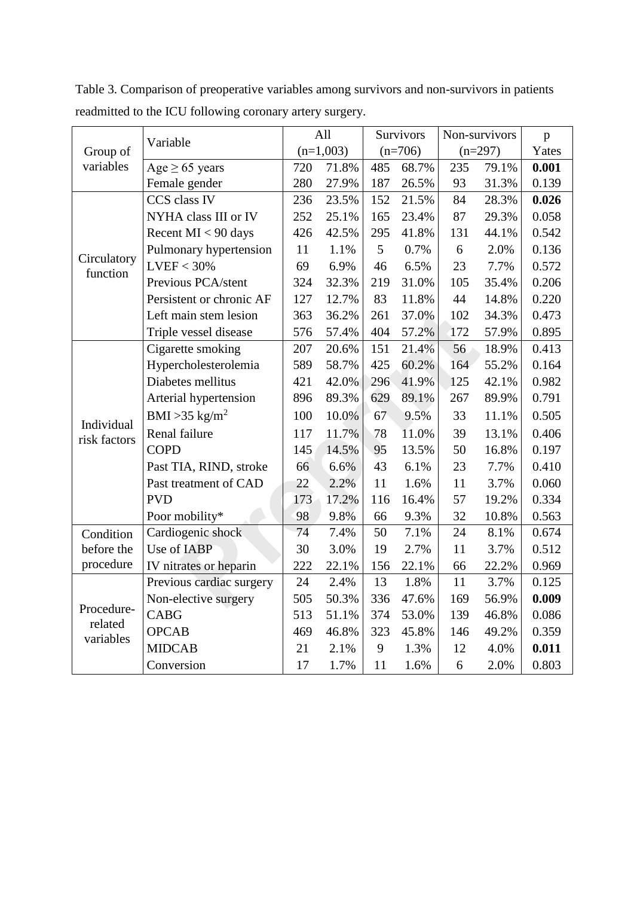|                            |                            | All                                   |       | Survivors |       | Non-survivors |       | $\mathbf{p}$ |
|----------------------------|----------------------------|---------------------------------------|-------|-----------|-------|---------------|-------|--------------|
| Group of                   | Variable                   | $(n=1,003)$<br>$(n=706)$<br>$(n=297)$ |       | Yates     |       |               |       |              |
| variables                  | Age $\geq 65$ years        | 720                                   | 71.8% | 485       | 68.7% | 235           | 79.1% | 0.001        |
|                            | Female gender              | 280                                   | 27.9% | 187       | 26.5% | 93            | 31.3% | 0.139        |
| Circulatory<br>function    | CCS class IV               | 236                                   | 23.5% | 152       | 21.5% | 84            | 28.3% | 0.026        |
|                            | NYHA class III or IV       | 252                                   | 25.1% | 165       | 23.4% | 87            | 29.3% | 0.058        |
|                            | Recent $MI < 90$ days      | 426                                   | 42.5% | 295       | 41.8% | 131           | 44.1% | 0.542        |
|                            | Pulmonary hypertension     | 11                                    | 1.1%  | 5         | 0.7%  | 6             | 2.0%  | 0.136        |
|                            | $LVEF < 30\%$              | 69                                    | 6.9%  | 46        | 6.5%  | 23            | 7.7%  | 0.572        |
|                            | Previous PCA/stent         | 324                                   | 32.3% | 219       | 31.0% | 105           | 35.4% | 0.206        |
|                            | Persistent or chronic AF   | 127                                   | 12.7% | 83        | 11.8% | 44            | 14.8% | 0.220        |
|                            | Left main stem lesion      | 363                                   | 36.2% | 261       | 37.0% | 102           | 34.3% | 0.473        |
|                            | Triple vessel disease      | 576                                   | 57.4% | 404       | 57.2% | 172           | 57.9% | 0.895        |
| Individual<br>risk factors | Cigarette smoking          | 207                                   | 20.6% | 151       | 21.4% | 56            | 18.9% | 0.413        |
|                            | Hypercholesterolemia       | 589                                   | 58.7% | 425       | 60.2% | 164           | 55.2% | 0.164        |
|                            | Diabetes mellitus          | 421                                   | 42.0% | 296       | 41.9% | 125           | 42.1% | 0.982        |
|                            | Arterial hypertension      | 896                                   | 89.3% | 629       | 89.1% | 267           | 89.9% | 0.791        |
|                            | BMI > 35 kg/m <sup>2</sup> | 100                                   | 10.0% | 67        | 9.5%  | 33            | 11.1% | 0.505        |
|                            | Renal failure              | 117                                   | 11.7% | 78        | 11.0% | 39            | 13.1% | 0.406        |
|                            | <b>COPD</b>                | 145                                   | 14.5% | 95        | 13.5% | 50            | 16.8% | 0.197        |
|                            | Past TIA, RIND, stroke     | 66                                    | 6.6%  | 43        | 6.1%  | 23            | 7.7%  | 0.410        |
|                            | Past treatment of CAD      | 22                                    | 2.2%  | 11        | 1.6%  | 11            | 3.7%  | 0.060        |
|                            | <b>PVD</b>                 | 173                                   | 17.2% | 116       | 16.4% | 57            | 19.2% | 0.334        |
|                            | Poor mobility*             | 98                                    | 9.8%  | 66        | 9.3%  | 32            | 10.8% | 0.563        |
| Condition                  | Cardiogenic shock          | 74                                    | 7.4%  | 50        | 7.1%  | 24            | 8.1%  | 0.674        |
| before the                 | Use of IABP                | 30                                    | 3.0%  | 19        | 2.7%  | 11            | 3.7%  | 0.512        |
| procedure                  | IV nitrates or heparin     | 222                                   | 22.1% | 156       | 22.1% | 66            | 22.2% | 0.969        |
| Procedure-                 | Previous cardiac surgery   | 24                                    | 2.4%  | 13        | 1.8%  | 11            | 3.7%  | 0.125        |
|                            | Non-elective surgery       | 505                                   | 50.3% | 336       | 47.6% | 169           | 56.9% | 0.009        |
|                            | CABG                       | 513                                   | 51.1% | 374       | 53.0% | 139           | 46.8% | 0.086        |
| related<br>variables       | <b>OPCAB</b>               | 469                                   | 46.8% | 323       | 45.8% | 146           | 49.2% | 0.359        |
|                            | <b>MIDCAB</b>              | 21                                    | 2.1%  | 9         | 1.3%  | 12            | 4.0%  | 0.011        |
|                            | Conversion                 | 17                                    | 1.7%  | 11        | 1.6%  | 6             | 2.0%  | 0.803        |

Table 3. Comparison of preoperative variables among survivors and non-survivors in patients readmitted to the ICU following coronary artery surgery.